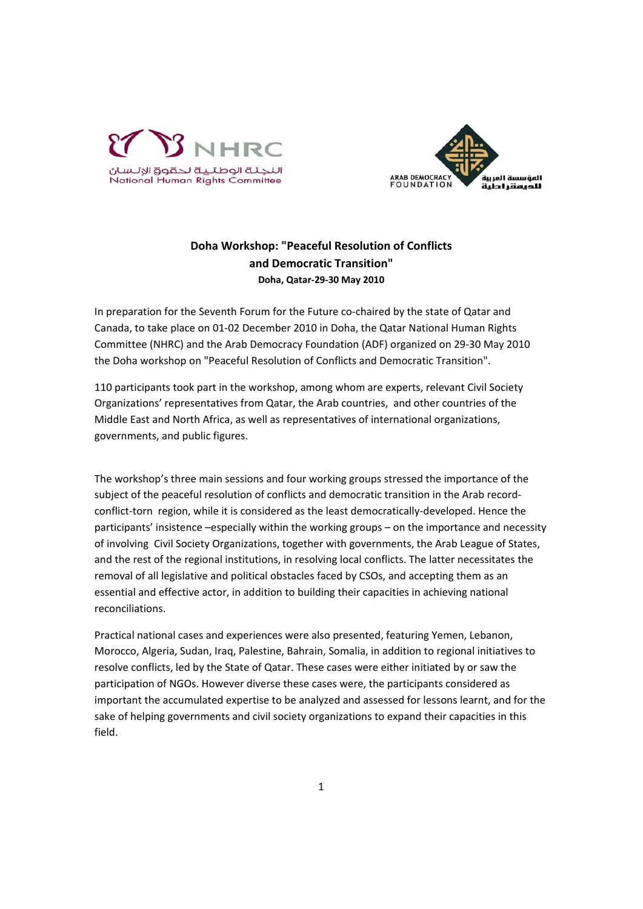



## **Doha Workshop: "Peaceful Resolution of Conflicts and Democratic Transition" Doha, Qatar‐29‐30 May 2010**

In preparation for the Seventh Forum for the Future co-chaired by the state of Qatar and Canada, to take place on 01‐02 December 2010 in Doha, the Qatar National Human Rights Committee (NHRC) and the Arab Democracy Foundation (ADF) organized on 29‐30 May 2010 the Doha workshop on "Peaceful Resolution of Conflicts and Democratic Transition".

110 participants took part in the workshop, among whom are experts, relevant Civil Society Organizations' representatives from Qatar, the Arab countries, and other countries of the Middle East and North Africa, as well as representatives of international organizations, governments, and public figures.

The workshop's three main sessions and four working groups stressed the importance of the subject of the peaceful resolution of conflicts and democratic transition in the Arab recordconflict-torn region, while it is considered as the least democratically-developed. Hence the participants' insistence –especially within the working groups – on the importance and necessity of involving Civil Society Organizations, together with governments, the Arab League of States, and the rest of the regional institutions, in resolving local conflicts. The latter necessitates the removal of all legislative and political obstacles faced by CSOs, and accepting them as an essential and effective actor, in addition to building their capacities in achieving national reconciliations.

Practical national cases and experiences were also presented, featuring Yemen, Lebanon, Morocco, Algeria, Sudan, Iraq, Palestine, Bahrain, Somalia, in addition to regional initiatives to resolve conflicts, led by the State of Qatar. These cases were either initiated by or saw the participation of NGOs. However diverse these cases were, the participants considered as important the accumulated expertise to be analyzed and assessed for lessons learnt, and for the sake of helping governments and civil society organizations to expand their capacities in this field.